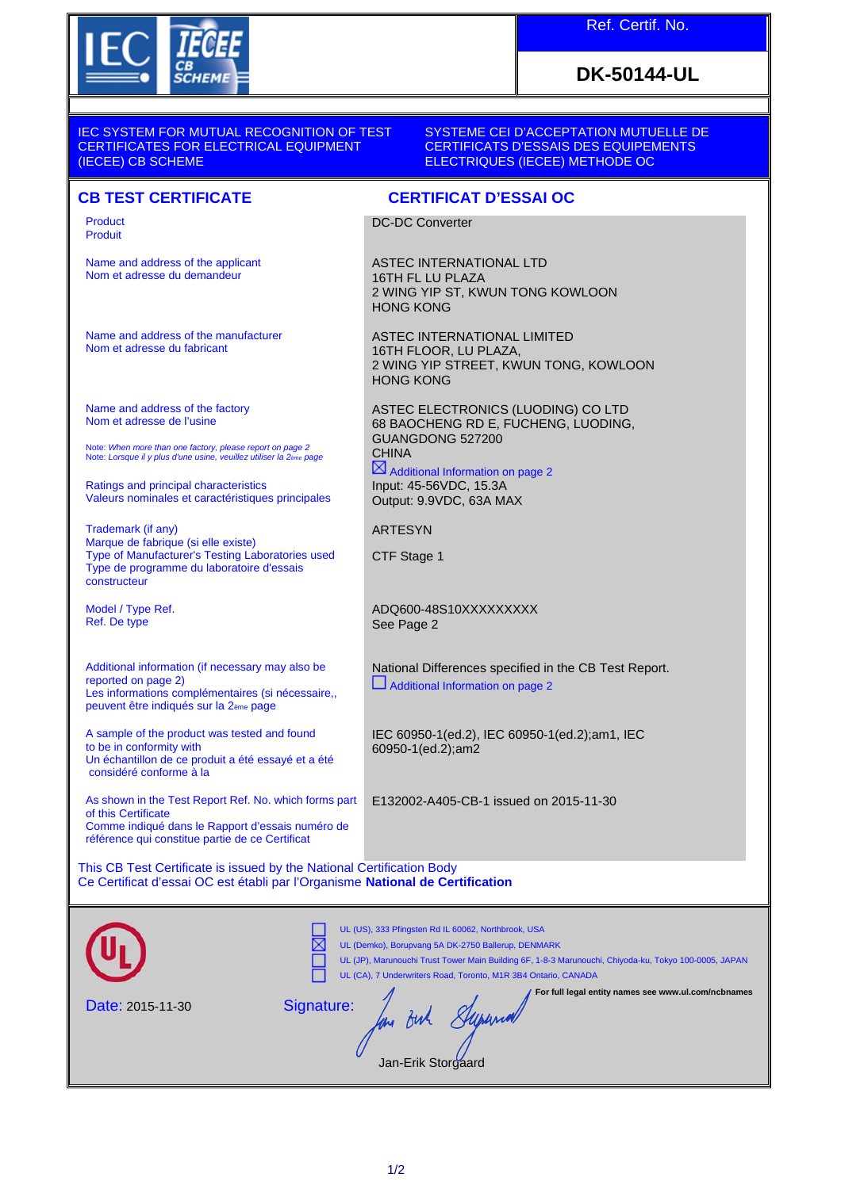

Name and address of the applicant Nom et adresse du demandeur

Name and address of the manufacturer

Note: *When more than one factory, please report on page 2* Note: *Lorsque il y plus d'une usine, veuillez utiliser la 2ème page*

Valeurs nominales et caractéristiques principales

Type of Manufacturer's Testing Laboratories used Type de programme du laboratoire d'essais

Additional information (if necessary may also be

A sample of the product was tested and found

Un échantillon de ce produit a été essayé et a été

As shown in the Test Report Ref. No. which forms part

peuvent être indiqués sur la 2ème page

Les informations complémentaires (si nécessaire,,

Nom et adresse du fabricant

Name and address of the factory Nom et adresse de l'usine

Ratings and principal characteristics

Marque de fabrique (si elle existe)

Trademark (if any)

Model / Type Ref. Ref. De type

reported on page 2)

to be in conformity with

of this Certificate

considéré conforme à la

constructeur

Product Produit

## **DK-50144-UL**

IEC SYSTEM FOR MUTUAL RECOGNITION OF TEST CERTIFICATES FOR ELECTRICAL EQUIPMENT (IECEE) CB SCHEME

SYSTEME CEI D'ACCEPTATION MUTUELLE DE CERTIFICATS D'ESSAIS DES EQUIPEMENTS ELECTRIQUES (IECEE) METHODE OC

## **CB TEST CERTIFICATE CERTIFICAT D'ESSAI OC**

DC-DC Converter

ASTEC INTERNATIONAL LTD 16TH FL LU PLAZA 2 WING YIP ST, KWUN TONG KOWLOON HONG KONG

ASTEC INTERNATIONAL LIMITED 16TH FLOOR, LU PLAZA, 2 WING YIP STREET, KWUN TONG, KOWLOON HONG KONG

ASTEC ELECTRONICS (LUODING) CO LTD 68 BAOCHENG RD E, FUCHENG, LUODING, GUANGDONG 527200 **CHINA**  $\boxtimes$  Additional Information on page 2

Input: 45-56VDC, 15.3A Output: 9.9VDC, 63A MAX

ARTESYN

CTF Stage 1

ADQ600-48S10XXXXXXXXX See Page 2

National Differences specified in the CB Test Report.  $\Box$  Additional Information on page 2

IEC 60950-1(ed.2), IEC 60950-1(ed.2);am1, IEC 60950-1(ed.2);am2

E132002-A405-CB-1 issued on 2015-11-30

Comme indiqué dans le Rapport d'essais numéro de référence qui constitue partie de ce Certificat

This CB Test Certificate is issued by the National Certification Body Ce Certificat d'essai OC est établi par l'Organisme **National de Certification**

|                  | UL (US), 333 Pfingsten Rd IL 60062, Northbrook, USA<br>UL (Demko), Borupvang 5A DK-2750 Ballerup, DENMARK<br>UL (JP), Marunouchi Trust Tower Main Building 6F, 1-8-3 Marunouchi, Chiyoda-ku, Tokyo 100-0005, JAPAN<br>UL (CA), 7 Underwriters Road, Toronto, M1R 3B4 Ontario, CANADA |
|------------------|--------------------------------------------------------------------------------------------------------------------------------------------------------------------------------------------------------------------------------------------------------------------------------------|
| Date: 2015-11-30 | For full legal entity names see www.ul.com/ncbnames<br>Signature:<br>Jan-Erik Storgaard                                                                                                                                                                                              |